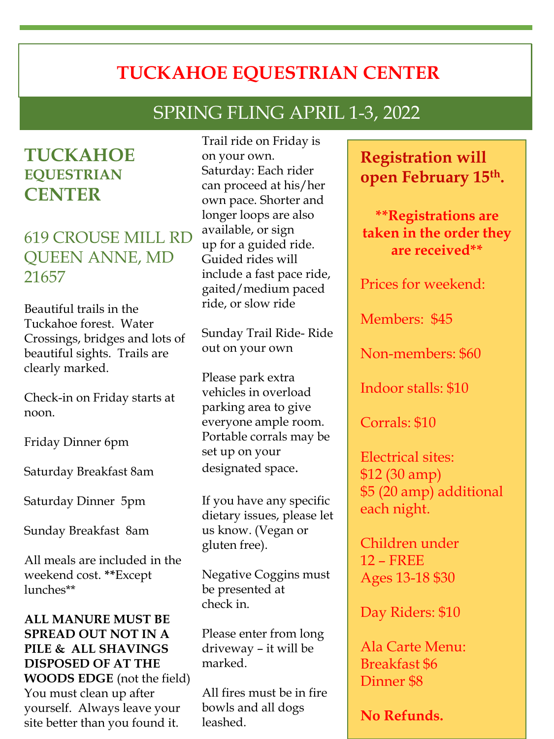# **TUCKAHOE EQUESTRIAN CENTER**

# SPRING FLING APRIL 1-3, 2022

## **TUCKAHOE EQUESTRIAN CENTER**

### 619 CROUSE MILL RD QUEEN ANNE, MD 21657

Beautiful trails in the Tuckahoe forest. Water Crossings, bridges and lots of beautiful sights. Trails are clearly marked.

Check-in on Friday starts at noon.

Friday Dinner 6pm

Saturday Breakfast 8am

Saturday Dinner 5pm

Sunday Breakfast 8am

All meals are included in the weekend cost. **\*\***Except lunches\*\*

#### **ALL MANURE MUST BE SPREAD OUT NOT IN A PILE & ALL SHAVINGS DISPOSED OF AT THE WOODS EDGE** (not the field) You must clean up after

yourself. Always leave your site better than you found it.

Trail ride on Friday is on your own. Saturday: Each rider can proceed at his/her own pace. Shorter and longer loops are also available, or sign up for a guided ride. Guided rides will include a fast pace ride, gaited/medium paced ride, or slow ride

Sunday Trail Ride- Ride out on your own

Please park extra vehicles in overload parking area to give everyone ample room. Portable corrals may be set up on your designated space.

If you have any specific dietary issues, please let us know. (Vegan or gluten free).

Negative Coggins must be presented at check in.

Please enter from long driveway – it will be marked.

All fires must be in fire bowls and all dogs leashed.

### **Registration will open February 15th.**

**\*\*Registrations are taken in the order they are received\*\***

Prices for weekend:

Members: \$45

Non-members: \$60

Indoor stalls: \$10

Corrals: \$10

Electrical sites: \$12 (30 amp) \$5 (20 amp) additional each night.

Children under 12 – FREE Ages 13-18 \$30

Day Riders: \$10

Ala Carte Menu: Breakfast \$6 Dinner \$8

**No Refunds.**